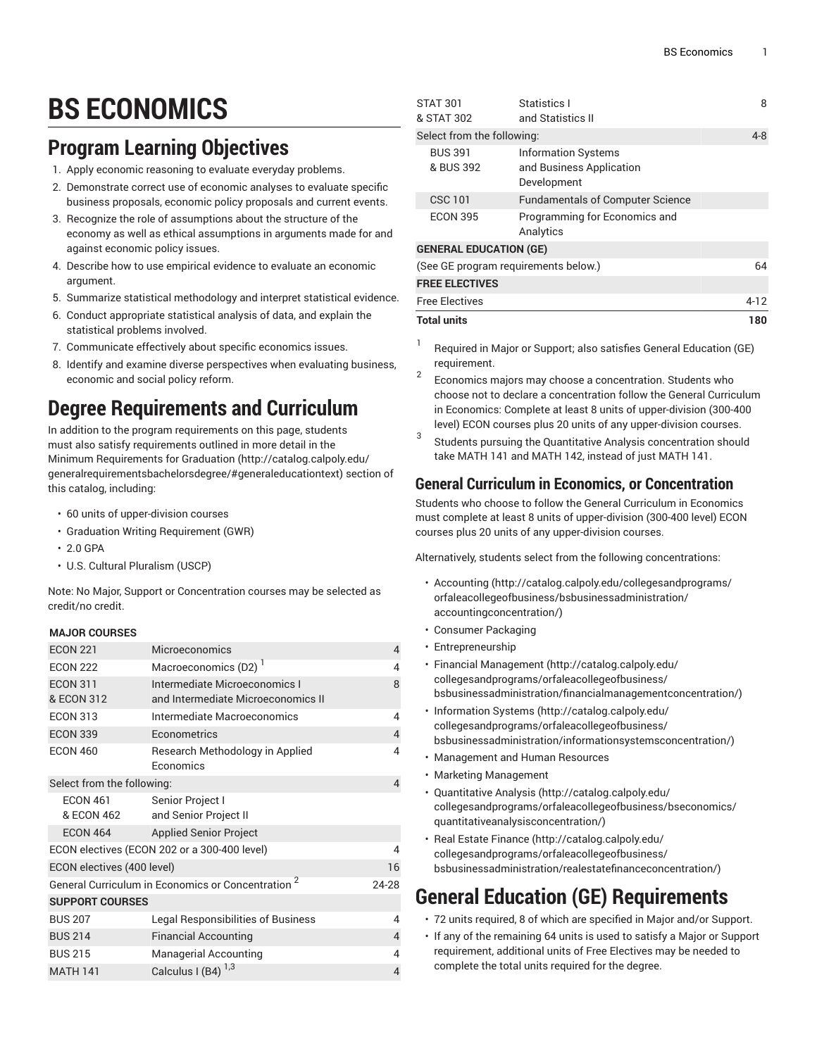# **BS ECONOMICS**

### **Program Learning Objectives**

- 1. Apply economic reasoning to evaluate everyday problems.
- 2. Demonstrate correct use of economic analyses to evaluate specific business proposals, economic policy proposals and current events.
- 3. Recognize the role of assumptions about the structure of the economy as well as ethical assumptions in arguments made for and against economic policy issues.
- 4. Describe how to use empirical evidence to evaluate an economic argument.
- 5. Summarize statistical methodology and interpret statistical evidence.
- 6. Conduct appropriate statistical analysis of data, and explain the statistical problems involved.
- 7. Communicate effectively about specific economics issues.
- 8. Identify and examine diverse perspectives when evaluating business, economic and social policy reform.

## **Degree Requirements and Curriculum**

In addition to the program requirements on this page, students must also satisfy requirements outlined in more detail in the Minimum [Requirements](http://catalog.calpoly.edu/generalrequirementsbachelorsdegree/#generaleducationtext) for Graduation ([http://catalog.calpoly.edu/](http://catalog.calpoly.edu/generalrequirementsbachelorsdegree/#generaleducationtext) [generalrequirementsbachelorsdegree/#generaleducationtext\)](http://catalog.calpoly.edu/generalrequirementsbachelorsdegree/#generaleducationtext) section of this catalog, including:

- 60 units of upper-division courses
- Graduation Writing Requirement (GWR)
- 2.0 GPA
- U.S. Cultural Pluralism (USCP)

Note: No Major, Support or Concentration courses may be selected as credit/no credit.

#### **MAJOR COURSES**

| <b>ECON 221</b>                                  | <b>Microeconomics</b>                                               | $\overline{4}$ |
|--------------------------------------------------|---------------------------------------------------------------------|----------------|
| <b>ECON 222</b>                                  | Macroeconomics (D2) <sup>1</sup>                                    | 4              |
| <b>ECON 311</b><br>& ECON 312                    | Intermediate Microeconomics I<br>and Intermediate Microeconomics II | 8              |
| <b>ECON 313</b>                                  | Intermediate Macroeconomics                                         | 4              |
| <b>ECON 339</b>                                  | Econometrics                                                        | $\overline{4}$ |
| <b>ECON 460</b>                                  | Research Methodology in Applied<br><b>Economics</b>                 | 4              |
| Select from the following:                       |                                                                     | 4              |
| <b>ECON 461</b><br>& ECON 462                    | Senior Project I<br>and Senior Project II                           |                |
| ECON 464                                         | <b>Applied Senior Project</b>                                       |                |
| ECON electives (ECON 202 or a 300-400 level)     |                                                                     | 4              |
| ECON electives (400 level)                       |                                                                     | 16             |
| General Curriculum in Economics or Concentration |                                                                     | 24-28          |
| <b>SUPPORT COURSES</b>                           |                                                                     |                |
| <b>BUS 207</b>                                   | <b>Legal Responsibilities of Business</b>                           | 4              |
| <b>BUS 214</b>                                   | <b>Financial Accounting</b>                                         | 4              |
| <b>BUS 215</b>                                   | <b>Managerial Accounting</b>                                        | 4              |
| <b>MATH 141</b>                                  | Calculus I (B4) $^{1,3}$                                            | 4              |

| <b>ECON 395</b>                      | Programming for Economics and<br>Analytics |      |  |
|--------------------------------------|--------------------------------------------|------|--|
|                                      |                                            |      |  |
| <b>GENERAL EDUCATION (GE)</b>        |                                            |      |  |
| (See GE program requirements below.) |                                            | 64   |  |
|                                      |                                            |      |  |
| <b>FREE ELECTIVES</b>                |                                            |      |  |
| <b>Free Electives</b>                |                                            | 4-12 |  |
| <b>Total units</b>                   |                                            | 180  |  |

- 1 Required in Major or Support; also satisfies General Education (GE) requirement.
- 2 Economics majors may choose a concentration. Students who choose not to declare a concentration follow the General Curriculum in Economics: Complete at least 8 units of upper-division (300-400 level) ECON courses plus 20 units of any upper-division courses.
- 3 Students pursuing the Quantitative Analysis concentration should take MATH 141 and MATH 142, instead of just MATH 141.

### **General Curriculum in Economics, or Concentration**

Students who choose to follow the General Curriculum in Economics must complete at least 8 units of upper-division (300-400 level) ECON courses plus 20 units of any upper-division courses.

Alternatively, students select from the following concentrations:

- [Accounting \(http://catalog.calpoly.edu/collegesandprograms/](http://catalog.calpoly.edu/collegesandprograms/orfaleacollegeofbusiness/bsbusinessadministration/accountingconcentration/) [orfaleacollegeofbusiness/bsbusinessadministration/](http://catalog.calpoly.edu/collegesandprograms/orfaleacollegeofbusiness/bsbusinessadministration/accountingconcentration/) [accountingconcentration/](http://catalog.calpoly.edu/collegesandprograms/orfaleacollegeofbusiness/bsbusinessadministration/accountingconcentration/))
- Consumer Packaging
- Entrepreneurship
- [Financial Management \(http://catalog.calpoly.edu/](http://catalog.calpoly.edu/collegesandprograms/orfaleacollegeofbusiness/bsbusinessadministration/financialmanagementconcentration/) [collegesandprograms/orfaleacollegeofbusiness/](http://catalog.calpoly.edu/collegesandprograms/orfaleacollegeofbusiness/bsbusinessadministration/financialmanagementconcentration/) [bsbusinessadministration/financialmanagementconcentration/\)](http://catalog.calpoly.edu/collegesandprograms/orfaleacollegeofbusiness/bsbusinessadministration/financialmanagementconcentration/)
- [Information Systems \(http://catalog.calpoly.edu/](http://catalog.calpoly.edu/collegesandprograms/orfaleacollegeofbusiness/bsbusinessadministration/informationsystemsconcentration/) [collegesandprograms/orfaleacollegeofbusiness/](http://catalog.calpoly.edu/collegesandprograms/orfaleacollegeofbusiness/bsbusinessadministration/informationsystemsconcentration/) [bsbusinessadministration/informationsystemsconcentration/\)](http://catalog.calpoly.edu/collegesandprograms/orfaleacollegeofbusiness/bsbusinessadministration/informationsystemsconcentration/)
- Management and Human Resources
- Marketing Management
- [Quantitative](http://catalog.calpoly.edu/collegesandprograms/orfaleacollegeofbusiness/bseconomics/quantitativeanalysisconcentration/) Analysis [\(http://catalog.calpoly.edu/](http://catalog.calpoly.edu/collegesandprograms/orfaleacollegeofbusiness/bseconomics/quantitativeanalysisconcentration/) [collegesandprograms/orfaleacollegeofbusiness/bseconomics/](http://catalog.calpoly.edu/collegesandprograms/orfaleacollegeofbusiness/bseconomics/quantitativeanalysisconcentration/) [quantitativeanalysisconcentration/](http://catalog.calpoly.edu/collegesandprograms/orfaleacollegeofbusiness/bseconomics/quantitativeanalysisconcentration/))
- [Real Estate Finance](http://catalog.calpoly.edu/collegesandprograms/orfaleacollegeofbusiness/bsbusinessadministration/realestatefinanceconcentration/) ([http://catalog.calpoly.edu/](http://catalog.calpoly.edu/collegesandprograms/orfaleacollegeofbusiness/bsbusinessadministration/realestatefinanceconcentration/) [collegesandprograms/orfaleacollegeofbusiness/](http://catalog.calpoly.edu/collegesandprograms/orfaleacollegeofbusiness/bsbusinessadministration/realestatefinanceconcentration/) [bsbusinessadministration/realestatefinanceconcentration/\)](http://catalog.calpoly.edu/collegesandprograms/orfaleacollegeofbusiness/bsbusinessadministration/realestatefinanceconcentration/)

### **General Education (GE) Requirements**

- 72 units required, 8 of which are specified in Major and/or Support.
- If any of the remaining 64 units is used to satisfy a Major or Support requirement, additional units of Free Electives may be needed to complete the total units required for the degree.